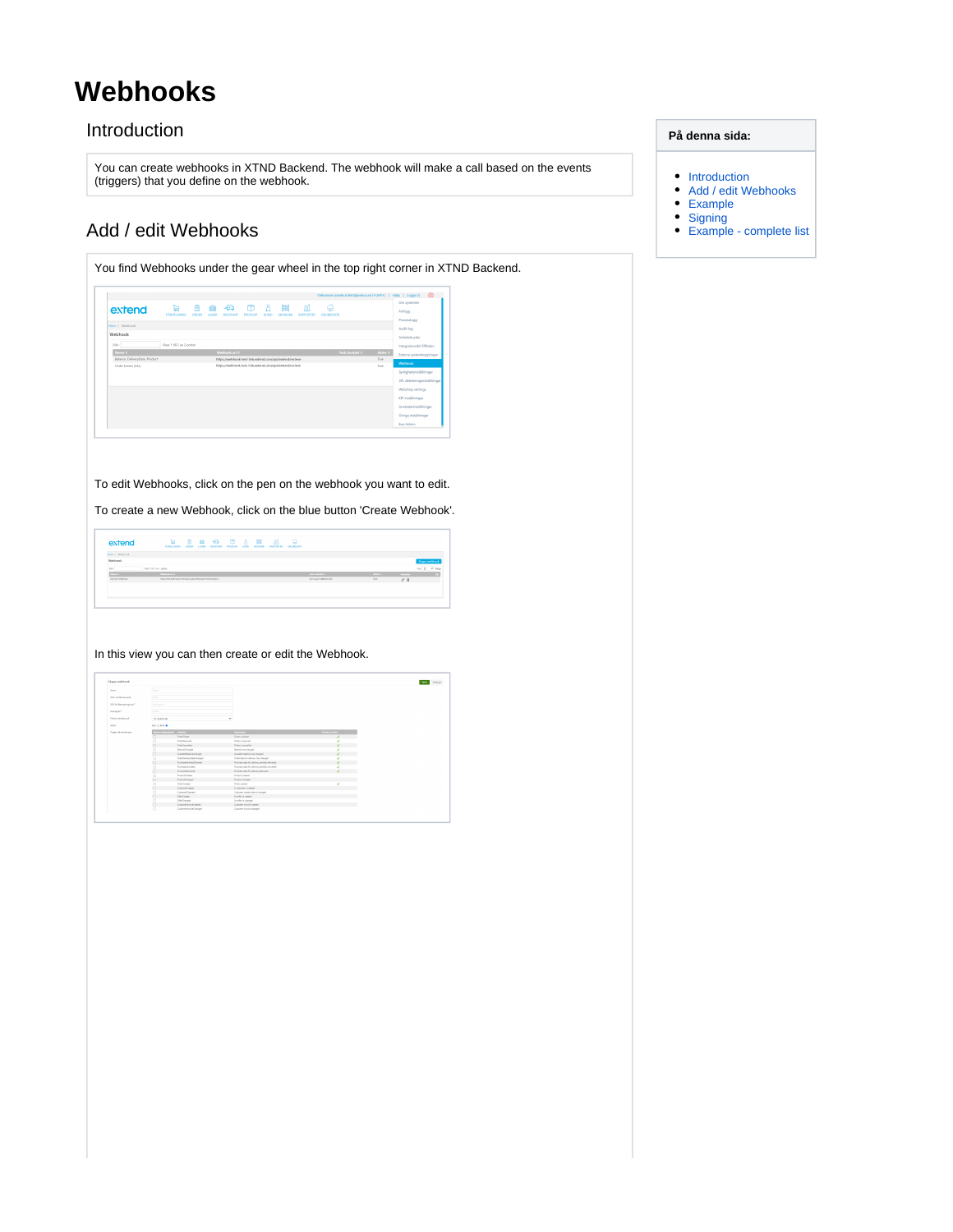# <span id="page-0-0"></span>**Webhooks**

### Introduction

You can create webhooks in XTND Backend. The webhook will make a call based on the events (triggers) that you define on the webhook.

### Add / edit Webhooks

<span id="page-0-1"></span>

To edit Webhooks, click on the pen on the webhook you want to edit.

To create a new Webhook, click on the blue button 'Create Webhook'.

| extend                  | rossiuses onces uses                                          | e | 自中自力各国 |  | - 41<br>DROPSHP PRODUCT KIAD EXCADAS FAPPORTER OFENDOLSA | € |                        |                  |                |                 |
|-------------------------|---------------------------------------------------------------|---|--------|--|----------------------------------------------------------|---|------------------------|------------------|----------------|-----------------|
| Hem J. Shildwick        |                                                               |   |        |  |                                                          |   |                        |                  |                |                 |
| Webhook                 |                                                               |   |        |  |                                                          |   |                        |                  |                | Skapa webbook   |
| Ski                     | Von 1481 av 1 senar                                           |   |        |  |                                                          |   |                        |                  |                | Var 3 - village |
| $x = 1$                 | <b>Professor and dr.</b>                                      |   |        |  |                                                          |   | <b>SAN MARCH 11</b>    | <b>Albert B.</b> | <b>Pineter</b> |                 |
| <b>Danced Schiefers</b> | Historical and and and information Markhood Frederick Station |   |        |  |                                                          |   | producement extent and | <b>Frist</b>     | $\angle$ 8     |                 |
|                         |                                                               |   |        |  |                                                          |   |                        |                  |                |                 |
|                         |                                                               |   |        |  |                                                          |   |                        |                  |                |                 |
|                         |                                                               |   |        |  |                                                          |   |                        |                  |                |                 |

#### In this view you can then create or edit the Webhook.

| Skaga webbank           |                               |                               |                                                |                       | <b>Spare</b> |
|-------------------------|-------------------------------|-------------------------------|------------------------------------------------|-----------------------|--------------|
| None                    | Silving                       |                               |                                                |                       |              |
| Tech konstitute post    | <b>Limits</b>                 |                               |                                                |                       |              |
| LRL for Benganingning * | Call hard call                |                               |                                                |                       |              |
| Henlighet*              | <b>Great</b><br>At vanitazing |                               |                                                |                       |              |
| Fitters handelse på     |                               |                               | ٠                                              |                       |              |
| <b>Antis</b>            | Set C Fek                     |                               |                                                |                       |              |
| Tripper på avansersang  |                               | Markets Machinery - Floridate | <b>Sylvany</b>                                 | <b>Piercharge Man</b> |              |
|                         | $\overline{a}$                | Ordeficiad                    | Orderia picked                                 |                       |              |
|                         | o                             | Odefinance                    | Odera reasonal                                 |                       |              |
|                         | $\Box$                        | OrderCancelland               | Order is remoded.                              |                       |              |
|                         | o                             | <b>BrianceOhanged</b>         | <b>Briance has changed</b>                     |                       |              |
|                         | o                             | Analytich Education Changed   | Auchède balance has shanced                    |                       |              |
|                         | $\Box$                        | Ordeform/JateDungel           | Order data for delivery has changed            |                       |              |
|                         | $\Box$                        | Purchase in Columns           | Furthern data for delivery partielly delivered |                       |              |
|                         | $\overline{a}$                | <b>PunitentCentribut</b>      | Pumbaca data for delivery santady serveded     |                       |              |
|                         | $\Box$                        | <b>Durbandalumni</b>          | Purchase data for delivery delivered           |                       |              |
|                         | $\circ$                       | PodudOvated                   | Product exerted                                |                       |              |
|                         | o                             | PodudOwind                    | Product changed                                |                       |              |
|                         | n                             | OrderCreated                  | Order or extent                                |                       |              |
|                         | $\Box$                        | CustomerCreated               | A notener is rended.                           |                       |              |
|                         | $\Box$                        | CustomeChanged                | Customer ments data is changed.                |                       |              |
|                         | $\Box$                        | Offenband                     | Analty is expect                               |                       |              |
|                         | $\Box$                        | OfferDranged                  | Another's changed                              |                       |              |
|                         | $\Box$                        | Commetricial/seas             | Customer invoice created                       |                       |              |

#### **På denna sida:**

- [Introduction](#page-0-0)
- [Add / edit Webhooks](#page-0-1)
- [Example](#page-1-0)
- [Signing](#page-2-0)
- [Example complete list](#page-3-0)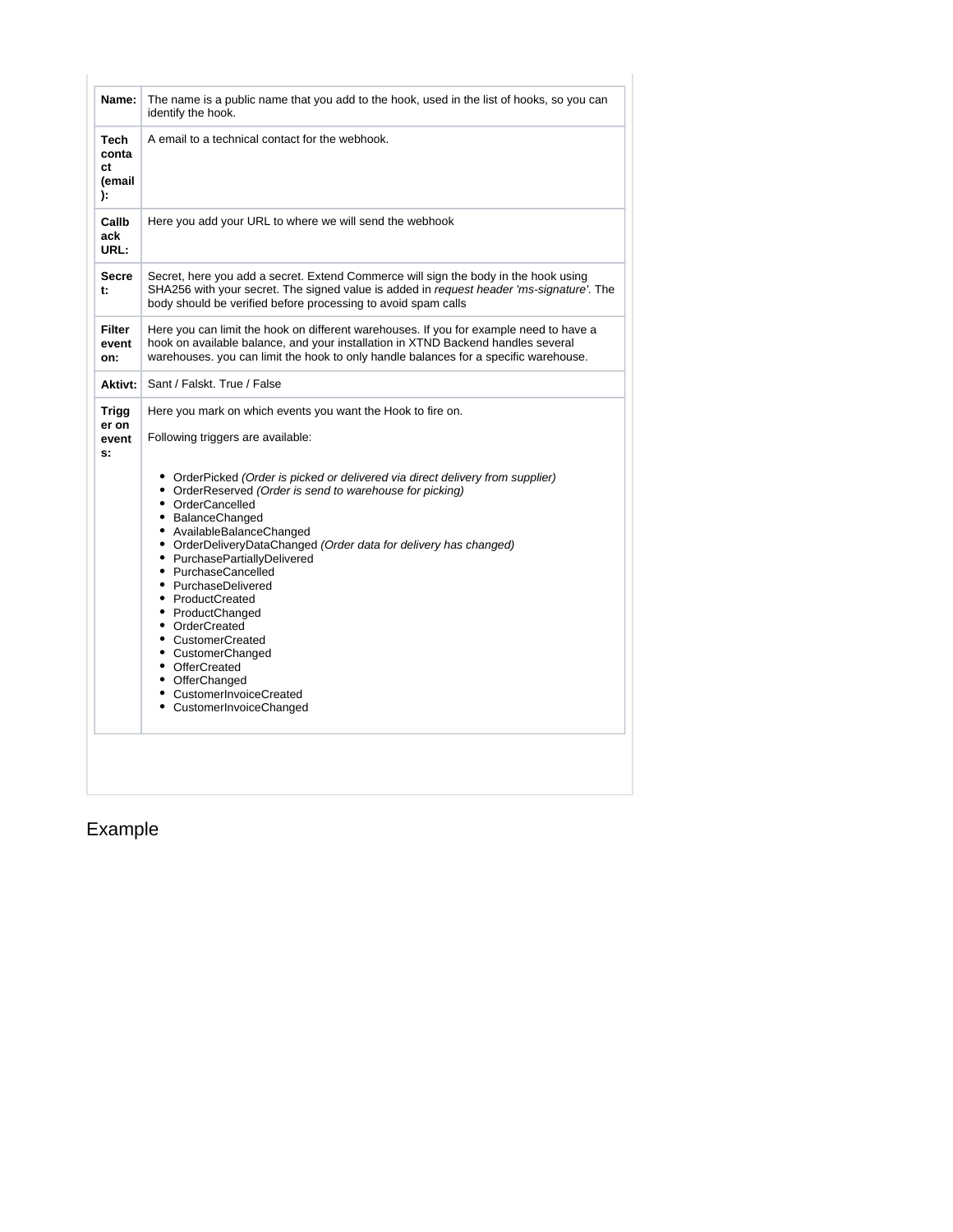| Name:                                      | The name is a public name that you add to the hook, used in the list of hooks, so you can<br>identify the hook.                                                                                                                                                                                                                                |
|--------------------------------------------|------------------------------------------------------------------------------------------------------------------------------------------------------------------------------------------------------------------------------------------------------------------------------------------------------------------------------------------------|
| <b>Tech</b><br>conta<br>ct<br>(email<br>): | A email to a technical contact for the webhook.                                                                                                                                                                                                                                                                                                |
| Callb<br>ack<br>URL:                       | Here you add your URL to where we will send the webhook                                                                                                                                                                                                                                                                                        |
| <b>Secre</b><br>t:                         | Secret, here you add a secret. Extend Commerce will sign the body in the hook using<br>SHA256 with your secret. The signed value is added in request header 'ms-signature'. The<br>body should be verified before processing to avoid spam calls                                                                                               |
| <b>Filter</b><br>event<br>on:              | Here you can limit the hook on different warehouses. If you for example need to have a<br>hook on available balance, and your installation in XTND Backend handles several<br>warehouses. you can limit the hook to only handle balances for a specific warehouse.                                                                             |
| Aktivt:                                    | Sant / Falskt. True / False                                                                                                                                                                                                                                                                                                                    |
| <b>Trigg</b><br>er on<br>event<br>s:       | Here you mark on which events you want the Hook to fire on.<br>Following triggers are available:<br>• OrderPicked (Order is picked or delivered via direct delivery from supplier)<br>• OrderReserved (Order is send to warehouse for picking)<br>• OrderCancelled<br>• BalanceChanged<br>• AvailableBalanceChanged                            |
|                                            | • OrderDeliveryDataChanged (Order data for delivery has changed)<br>• PurchasePartiallyDelivered<br>• PurchaseCancelled<br>• PurchaseDelivered<br>• ProductCreated<br>• ProductChanged<br>• OrderCreated<br>• CustomerCreated<br>• CustomerChanged<br>• OfferCreated<br>• OfferChanged<br>• CustomerInvoiceCreated<br>• CustomerInvoiceChanged |
|                                            |                                                                                                                                                                                                                                                                                                                                                |

## <span id="page-1-0"></span>Example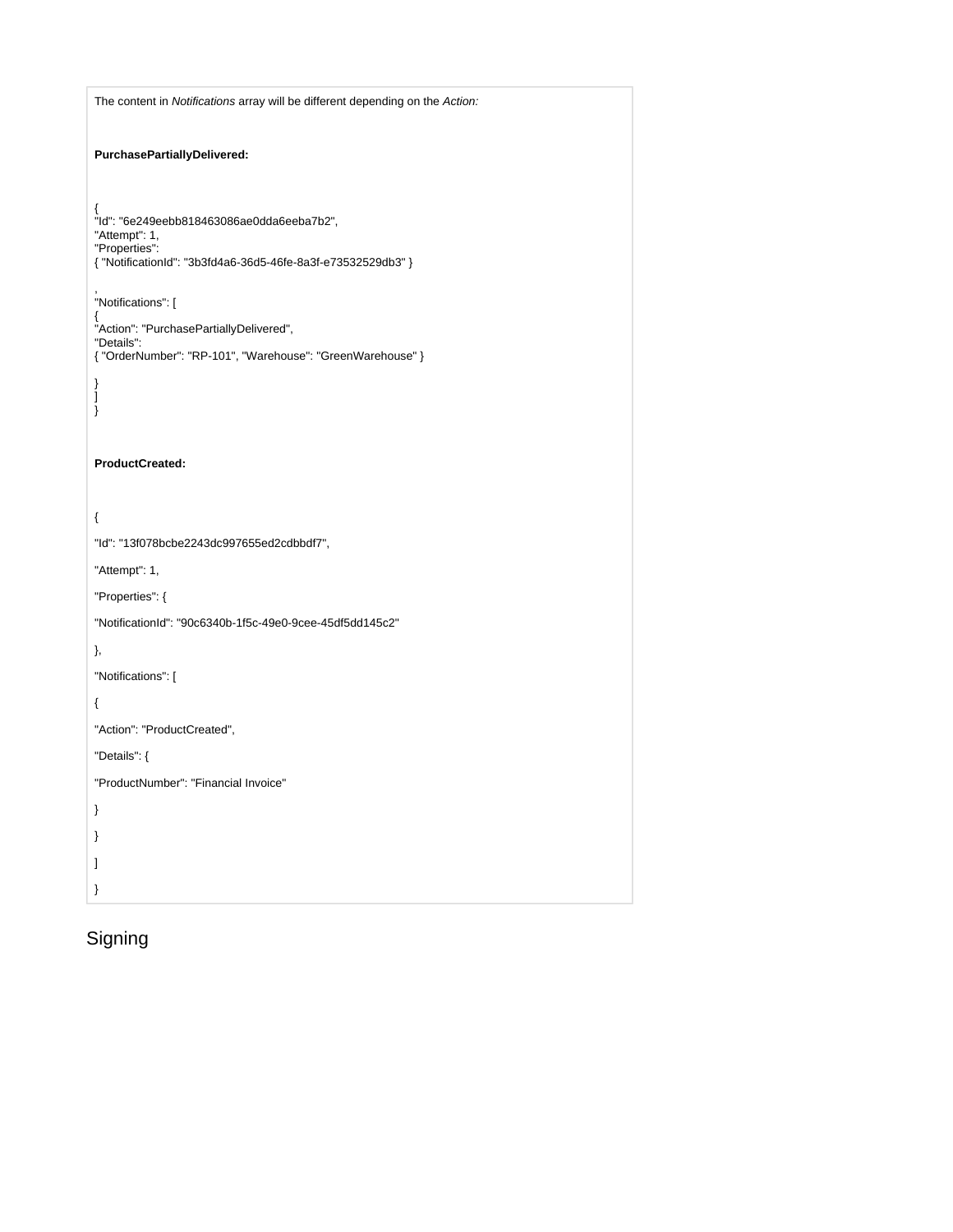| The content in Notifications array will be different depending on the Action:                                                                    |
|--------------------------------------------------------------------------------------------------------------------------------------------------|
| PurchasePartiallyDelivered:                                                                                                                      |
| {<br>"Id": "6e249eebb818463086ae0dda6eeba7b2",<br>"Attempt": 1,<br>"Properties":<br>{ "NotificationId": "3b3fd4a6-36d5-46fe-8a3f-e73532529db3" } |
| "Notifications": [<br>{<br>"Action": "PurchasePartiallyDelivered",<br>"Details":<br>{ "OrderNumber": "RP-101", "Warehouse": "GreenWarehouse" }   |
| }<br>l<br>}                                                                                                                                      |
| ProductCreated:                                                                                                                                  |
| {                                                                                                                                                |
| "Id": "13f078bcbe2243dc997655ed2cdbbdf7",                                                                                                        |
| "Attempt": 1,                                                                                                                                    |
| "Properties": {                                                                                                                                  |
| "NotificationId": "90c6340b-1f5c-49e0-9cee-45df5dd145c2"                                                                                         |
| },                                                                                                                                               |
| "Notifications": [                                                                                                                               |
| {                                                                                                                                                |
| "Action": "ProductCreated",                                                                                                                      |
| "Details": {                                                                                                                                     |
| "ProductNumber": "Financial Invoice"                                                                                                             |
| }                                                                                                                                                |
| }                                                                                                                                                |
| 1                                                                                                                                                |
| }                                                                                                                                                |

## <span id="page-2-0"></span>Signing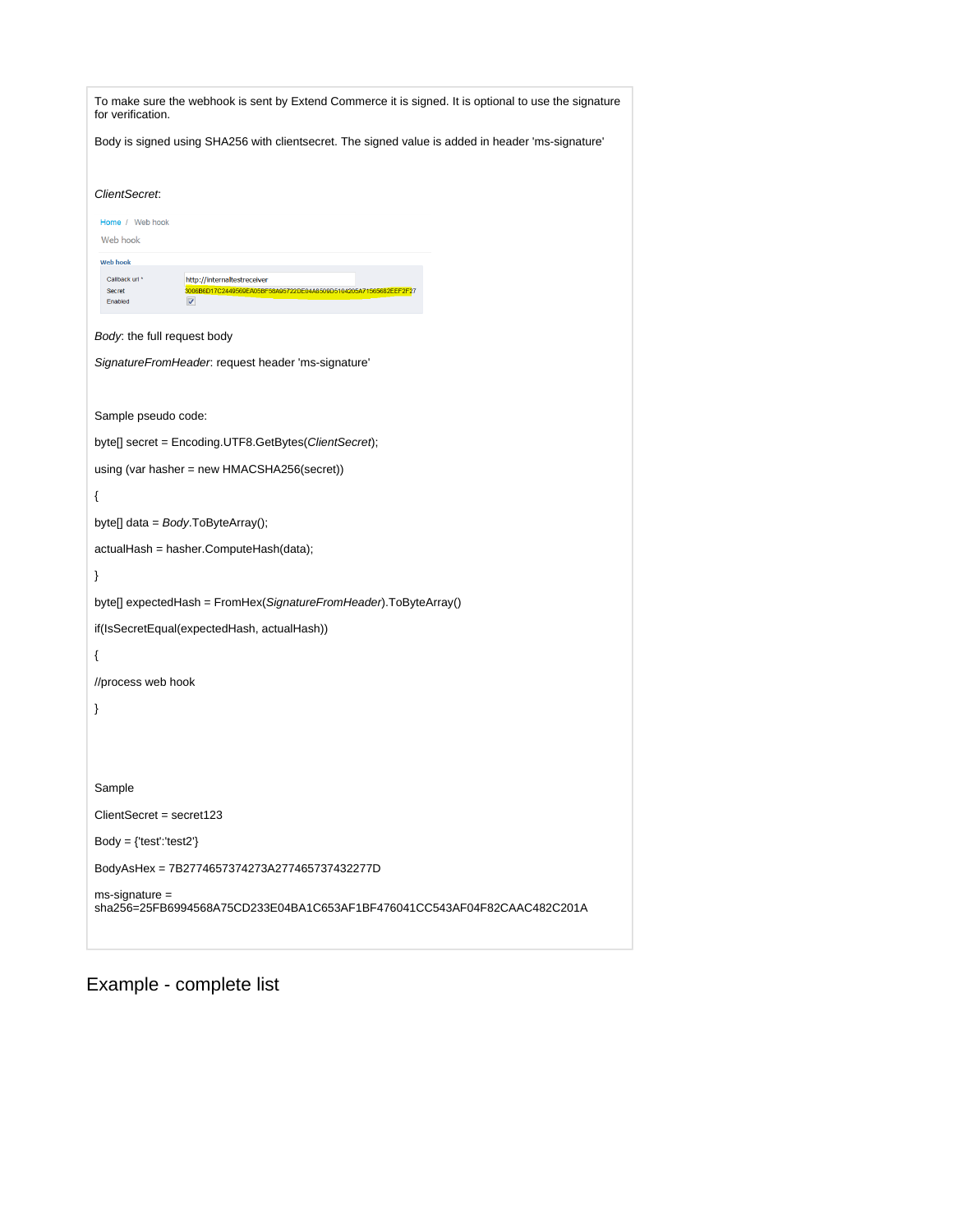| To make sure the webhook is sent by Extend Commerce it is signed. It is optional to use the signature<br>for verification.                                       |
|------------------------------------------------------------------------------------------------------------------------------------------------------------------|
| Body is signed using SHA256 with clientsecret. The signed value is added in header 'ms-signature'                                                                |
| ClientSecret:                                                                                                                                                    |
| Home / Web hook<br>Web hook                                                                                                                                      |
| <b>Web hook</b>                                                                                                                                                  |
| Callback url *<br>http://internaltestreceiver<br>3006B6D17C2449569EA05BF58A95722DE04A8509D5104205A71565682EEF2F27<br><b>Secret</b><br>Enabled<br>$\triangledown$ |
| Body: the full request body                                                                                                                                      |
| SignatureFromHeader. request header 'ms-signature'                                                                                                               |
| Sample pseudo code:                                                                                                                                              |
| byte[] secret = Encoding.UTF8.GetBytes(ClientSecret);                                                                                                            |
| using (var hasher = new HMACSHA256(secret))                                                                                                                      |
|                                                                                                                                                                  |
| ₹                                                                                                                                                                |
| byte[] data = $Body.ToByteArray();$                                                                                                                              |
| actualHash = hasher.ComputeHash(data);                                                                                                                           |
| }                                                                                                                                                                |
| byte[] expectedHash = FromHex(SignatureFromHeader).ToByteArray()                                                                                                 |
| if(IsSecretEqual(expectedHash, actualHash))                                                                                                                      |
| ₹                                                                                                                                                                |
| //process web hook                                                                                                                                               |
| }                                                                                                                                                                |
|                                                                                                                                                                  |
|                                                                                                                                                                  |
| Sample                                                                                                                                                           |
| ClientSecret = secret123                                                                                                                                         |
| $Body = {test': 'test2'}$                                                                                                                                        |
| BodyAsHex = 7B2774657374273A277465737432277D                                                                                                                     |
| $ms\text{-}sigmoid =$<br>sha256=25FB6994568A75CD233E04BA1C653AF1BF476041CC543AF04F82CAAC482C201A                                                                 |

<span id="page-3-0"></span>Example - complete list